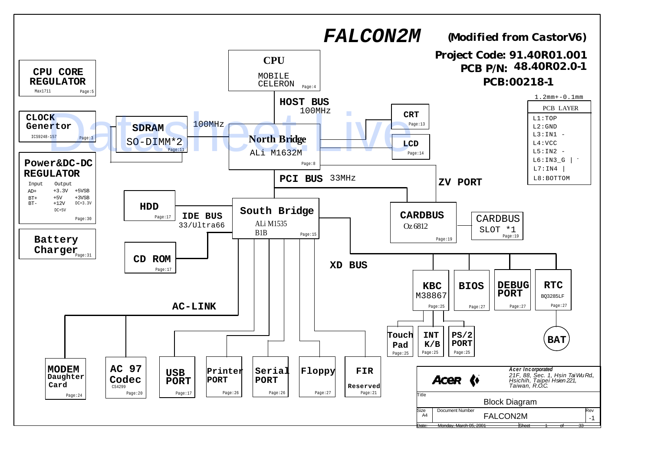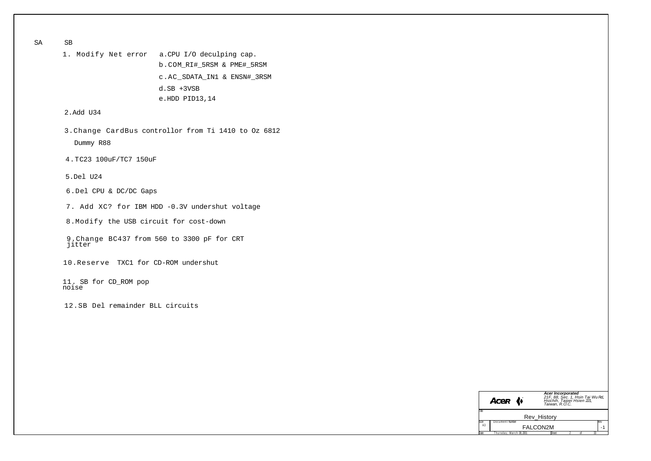SA SB

1. Modify Net error a.CPU I/O deculping cap. b.COM\_RI#\_5RSM & PME#\_5RSM c.AC\_SDATA\_IN1 & ENSN#\_3RSM d.SB +3VSB e.HDD PID13,14

## 2.Add U34

3.Change CardBus controllor from Ti 1410 to Oz 6812 Dummy R88

4.TC23 100uF/TC7 150uF

5.Del U24

6.Del CPU & DC/DC Gaps

7. Add XC? for IBM HDD -0.3V undershut voltage

8.Modify the USB circuit for cost-down

9.Change BC437 from 560 to 3300 pF for CRT jitter

10.Reserve TXC1 for CD-ROM undershut

11. SB for CD\_ROM pop noise

12.SB Del remainder BLL circuits

|                | <b>Acer</b>            | <b>Acer Incorporated</b><br>21F, 88, Sec. 1, Hsin Tai Wu Rd,<br>Hsichih, Taipei Hsien 221,<br>Taiwan, R.O.C. |  |  |  |  |  |  |  |  |
|----------------|------------------------|--------------------------------------------------------------------------------------------------------------|--|--|--|--|--|--|--|--|
| Tile.          |                        |                                                                                                              |  |  |  |  |  |  |  |  |
|                | Rev History            |                                                                                                              |  |  |  |  |  |  |  |  |
| Size           | Document Number        | Rev                                                                                                          |  |  |  |  |  |  |  |  |
| A <sub>3</sub> | <b>FALCON2M</b>        |                                                                                                              |  |  |  |  |  |  |  |  |
| Date:          | hursdav. March 08.2001 | 23<br>Sheet                                                                                                  |  |  |  |  |  |  |  |  |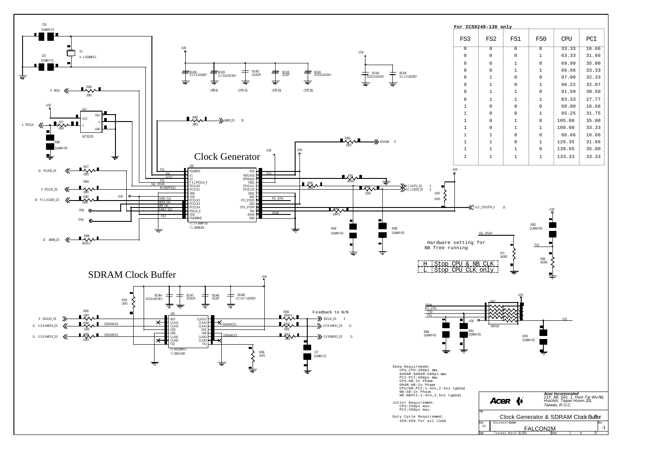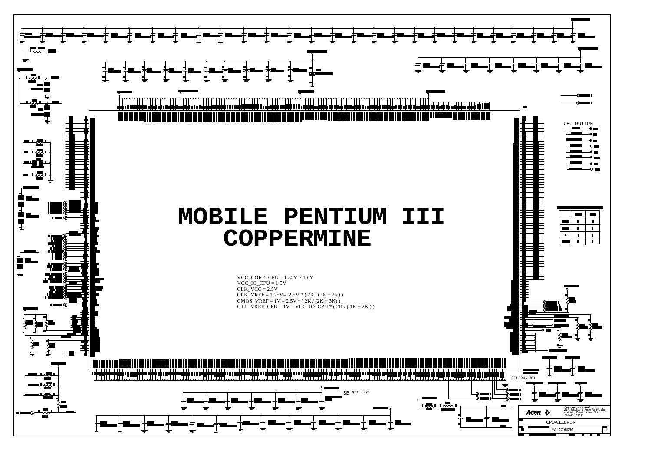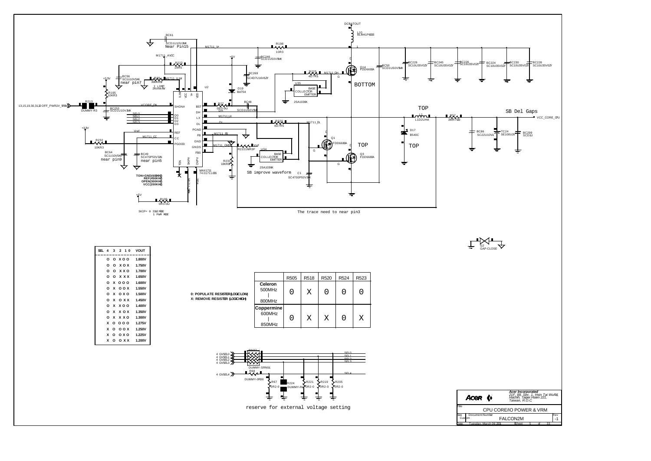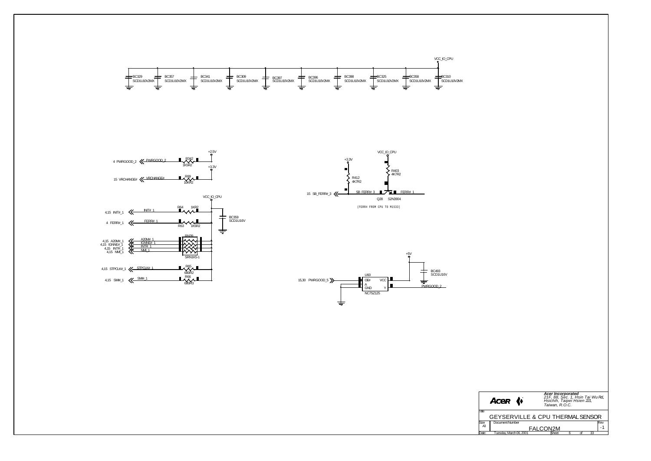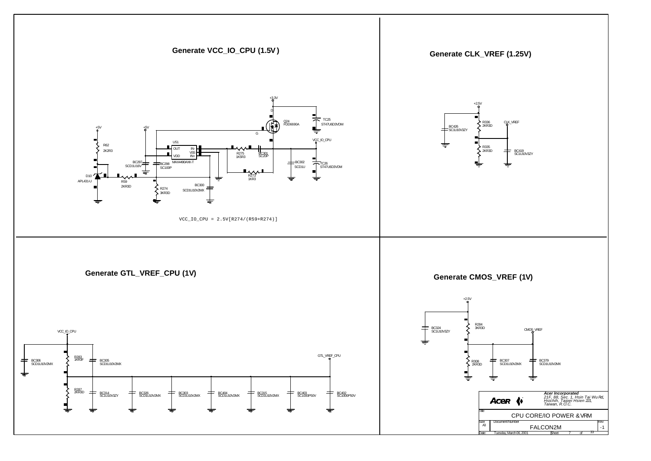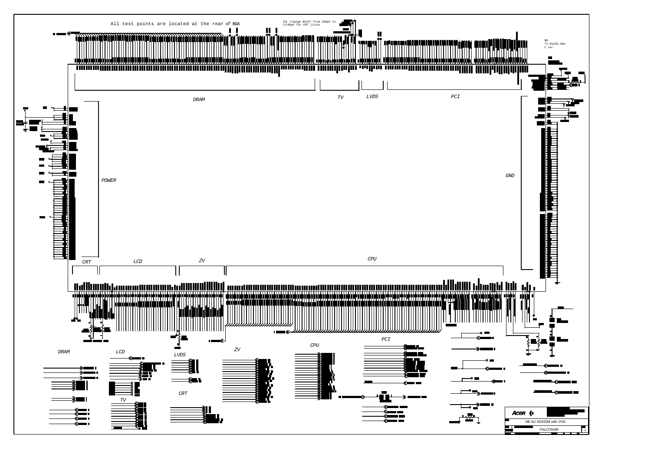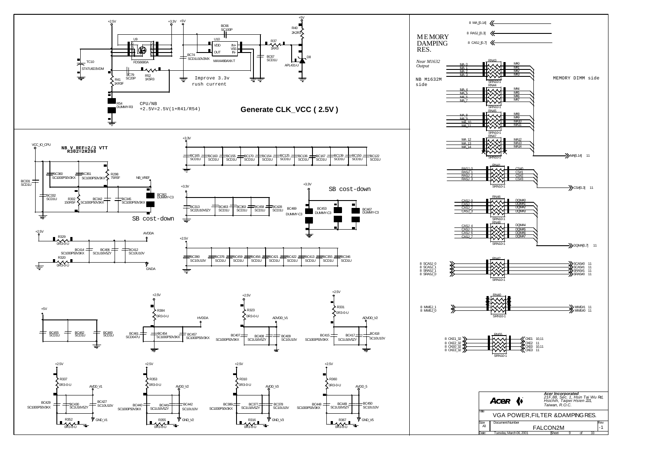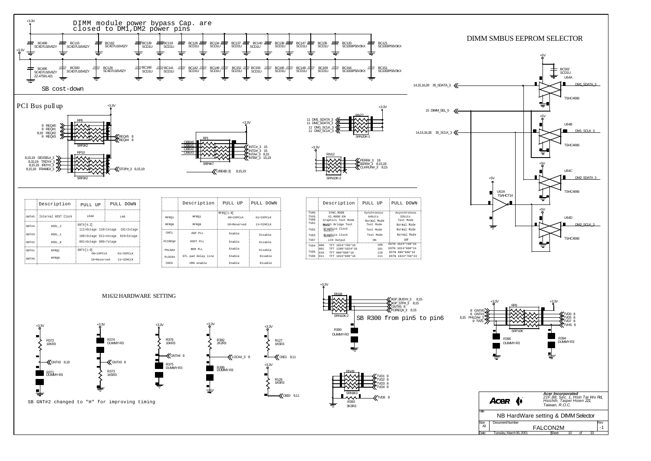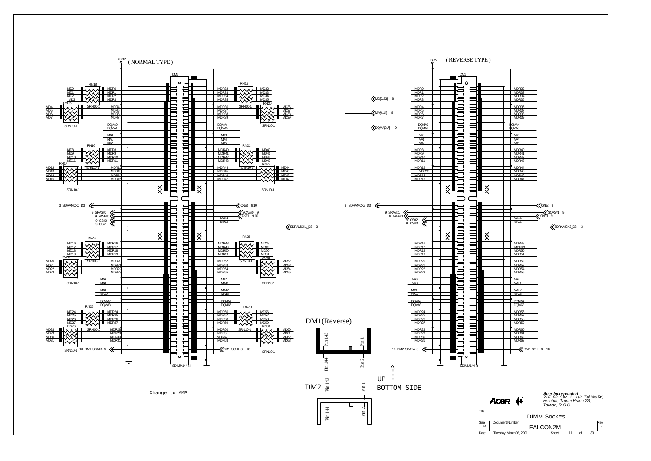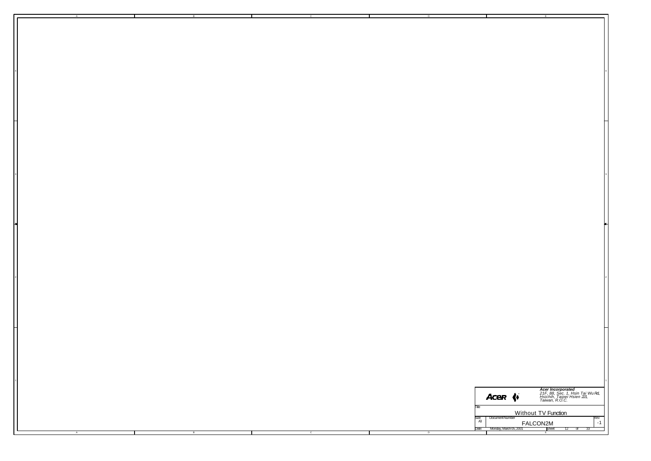|   |  |          |         |          |                                    | Acer (                                                      | <b>Acer Incorporated</b><br>21F, 88, Sec. 1, Hsin Tai Wu Rd,<br>Hsichih, Taipei Hsien 221,<br>Taiwan, R.O.C. |
|---|--|----------|---------|----------|------------------------------------|-------------------------------------------------------------|--------------------------------------------------------------------------------------------------------------|
|   |  |          |         |          |                                    | Without TV Function                                         |                                                                                                              |
| A |  | <b>B</b> | $\circ$ | <b>D</b> | $\frac{\text{Size}}{\mathcal{A}3}$ | Document Number<br>FALCON2M<br>Date: Monday, March 05, 2001 | Rev<br>$-1$<br>Expect 12 of 33                                                                               |
|   |  |          |         |          |                                    |                                                             |                                                                                                              |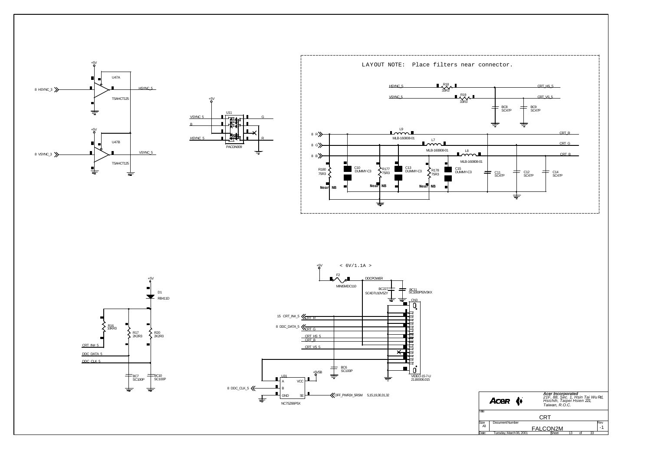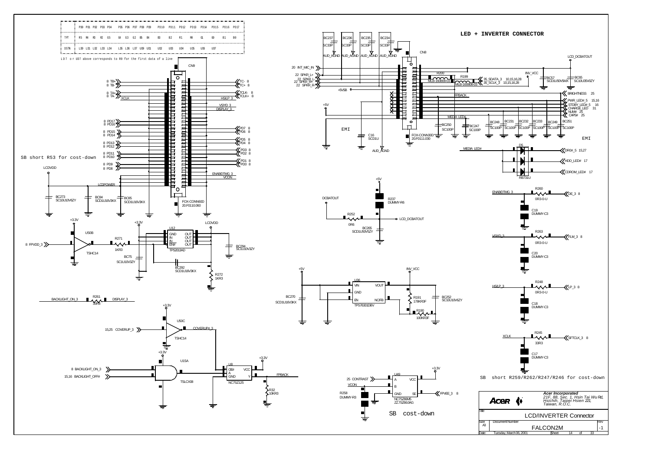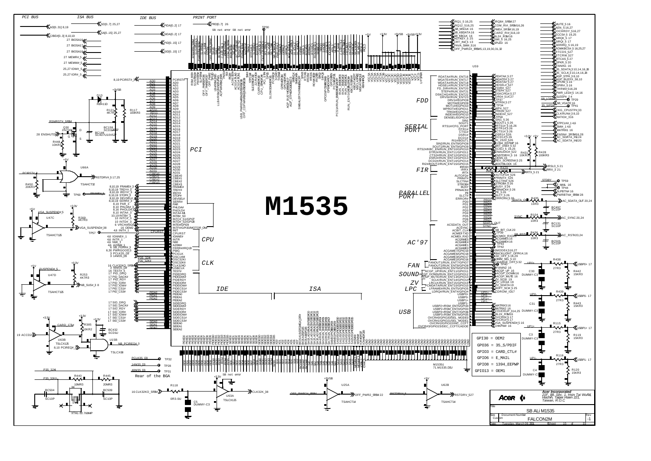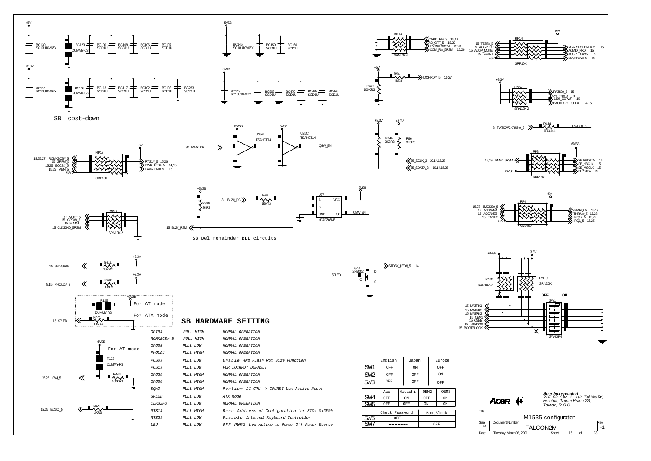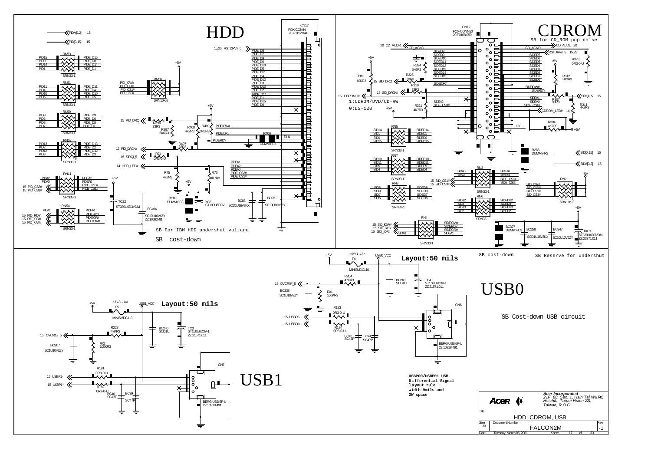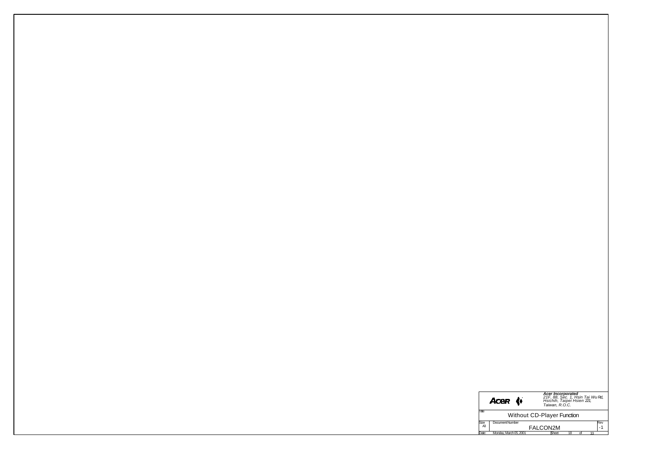|  |  |            | Acer (+         | <b>Acer Incorporated</b><br>21F, 88, Sec. 1, Hsin Tai Wu Rd,<br>Hsichih, Taipei Hsien 221,<br>Taiwan, R.O.C. |
|--|--|------------|-----------------|--------------------------------------------------------------------------------------------------------------|
|  |  |            |                 | Without CD-Player Function                                                                                   |
|  |  |            |                 |                                                                                                              |
|  |  | Size<br>A3 | Document Number | Rev<br>FALCON2M                                                                                              |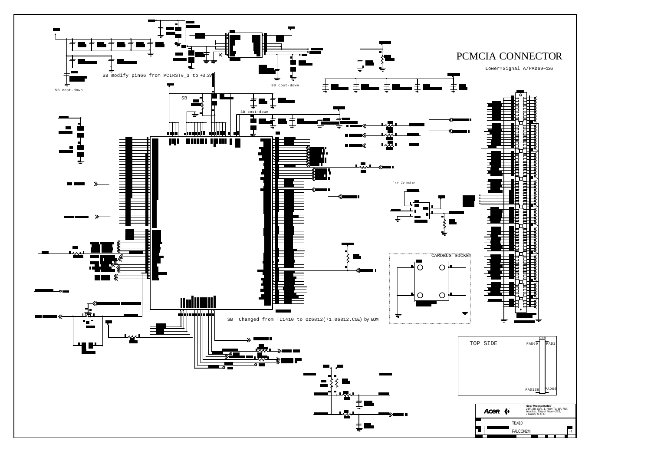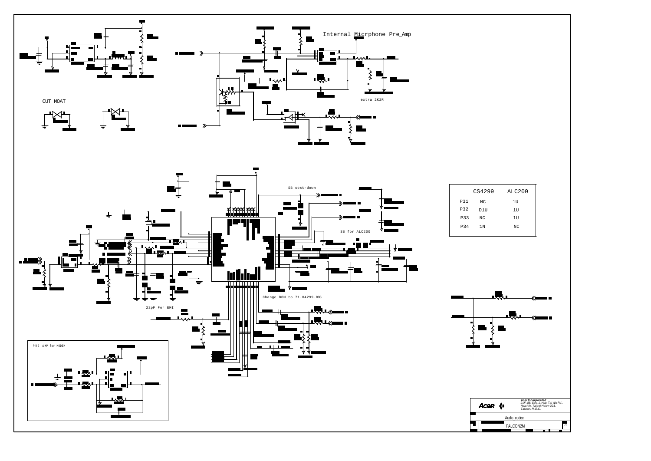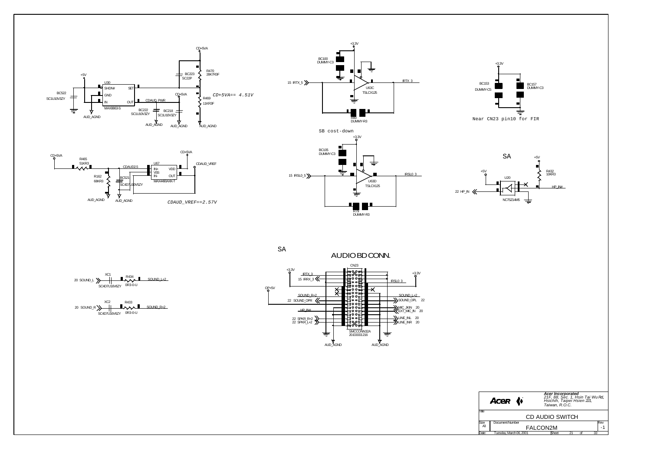











SA



CD+5VA

R465 51KR3





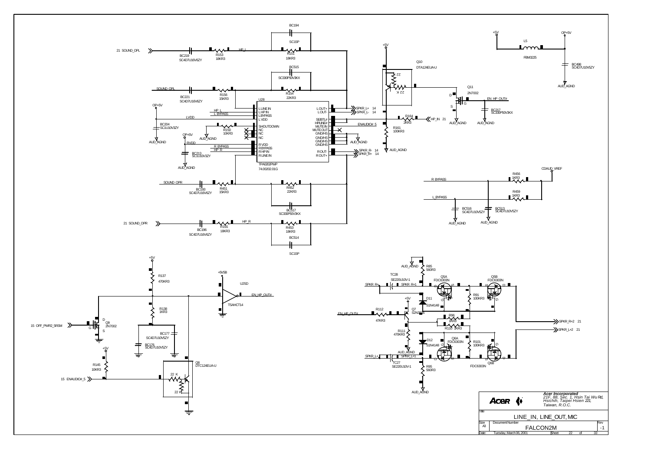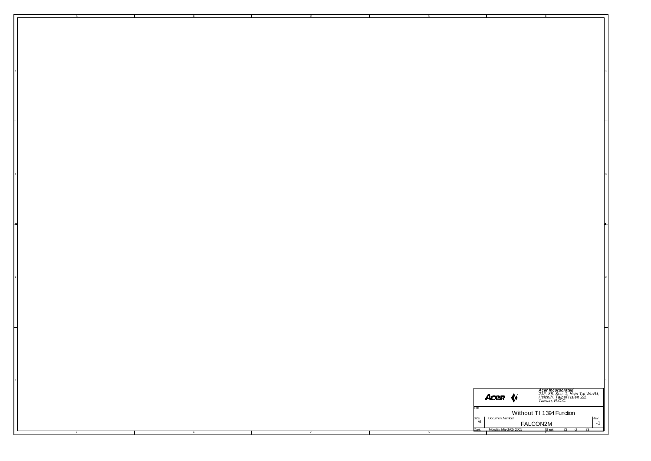|  |  |  |  |                                 | Acer (                             | <b>Acer Incorporated</b><br>21F, 88, Sec. 1, Hsin Tai Wu Rd,<br>Hsichih, Taipei Hsien 221,<br>Taiwan, R.O.C. |
|--|--|--|--|---------------------------------|------------------------------------|--------------------------------------------------------------------------------------------------------------|
|  |  |  |  |                                 |                                    |                                                                                                              |
|  |  |  |  | Title                           |                                    | Without TI 1394 Function                                                                                     |
|  |  |  |  | $\frac{\text{Size}}{\text{A3}}$ | Document Number                    | $r_{1}^{\text{Rev}}$                                                                                         |
|  |  |  |  |                                 |                                    |                                                                                                              |
|  |  |  |  | )ate:                           | FALCON2M<br>Monday, March 05, 2001 | Sheet                                                                                                        |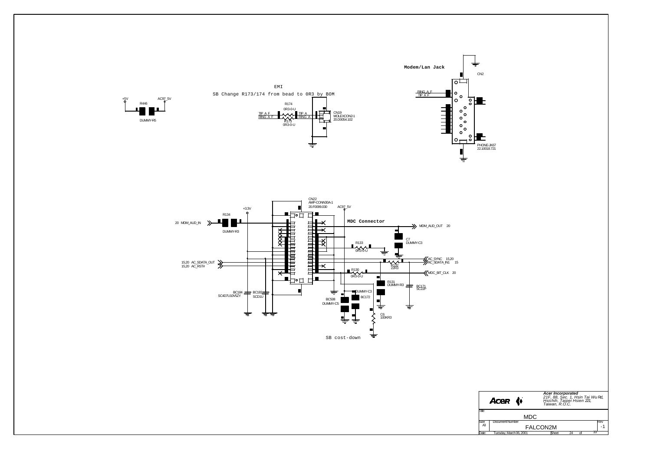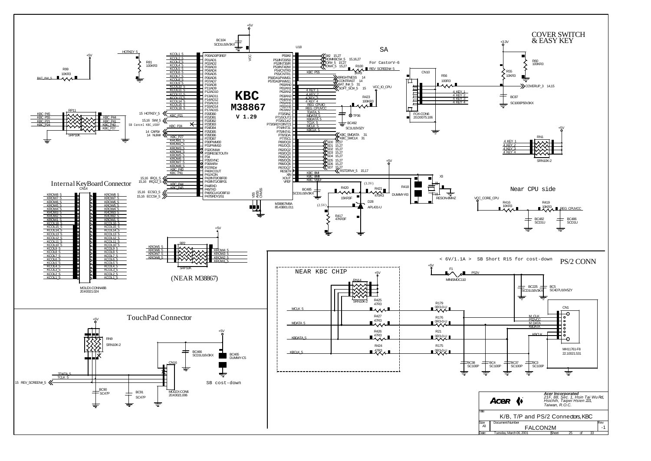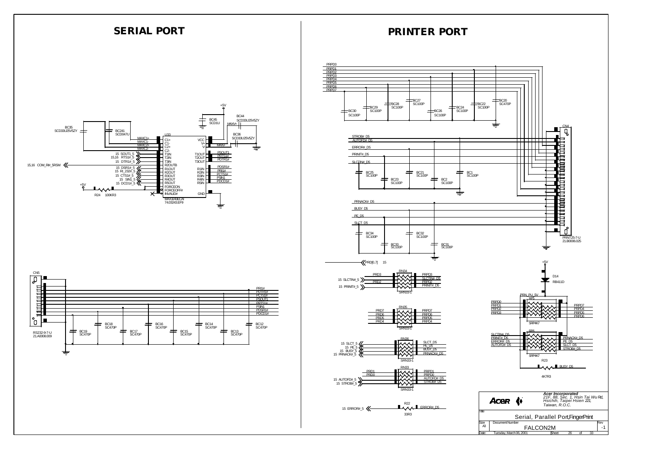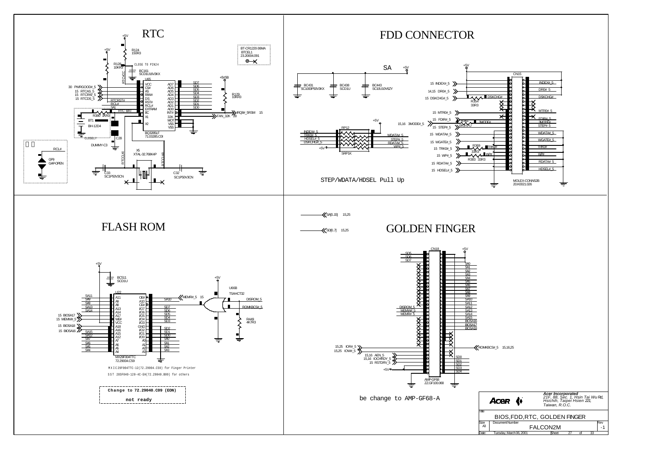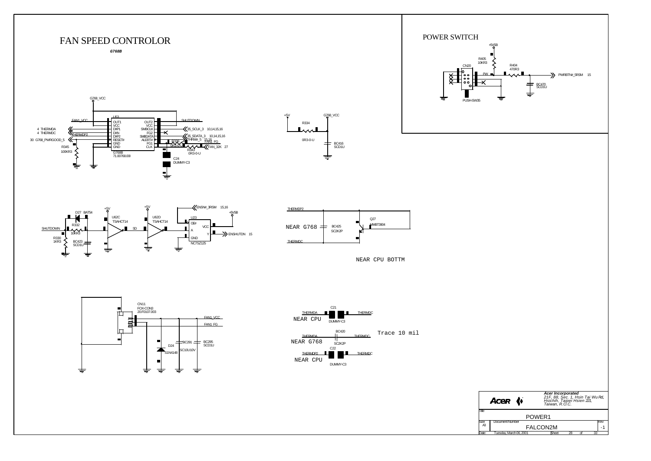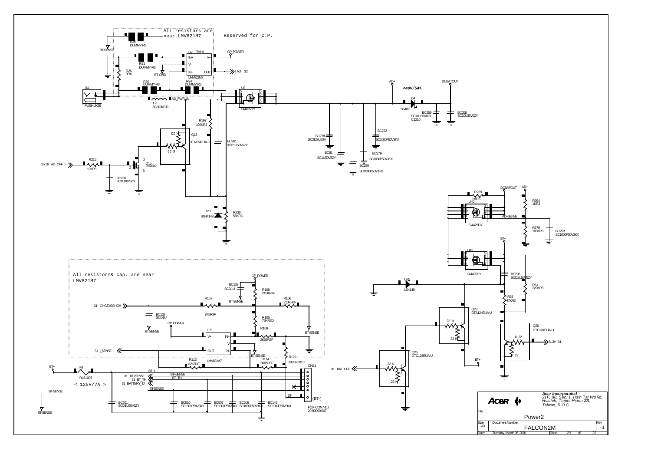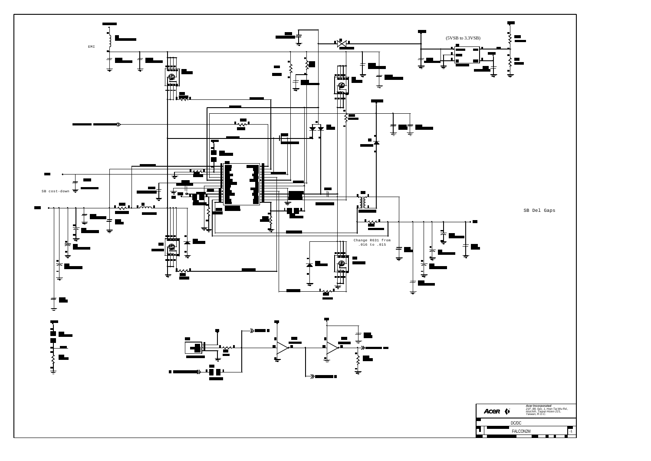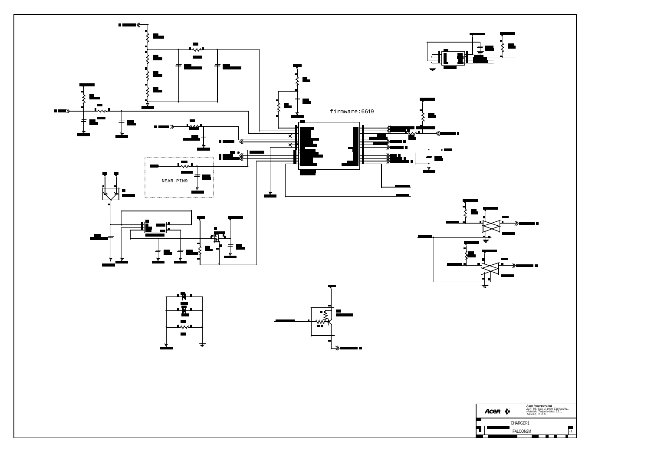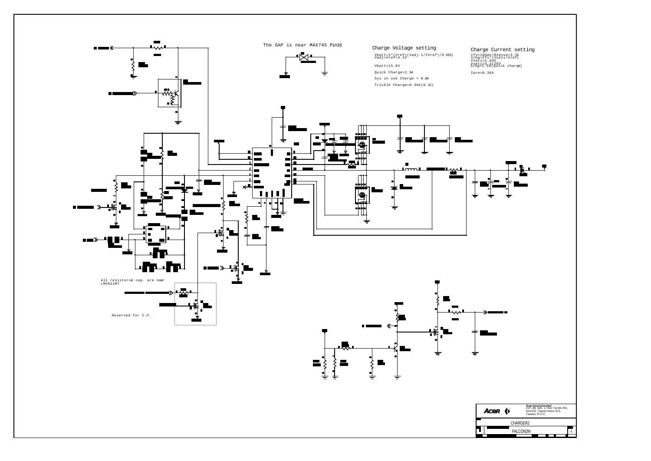